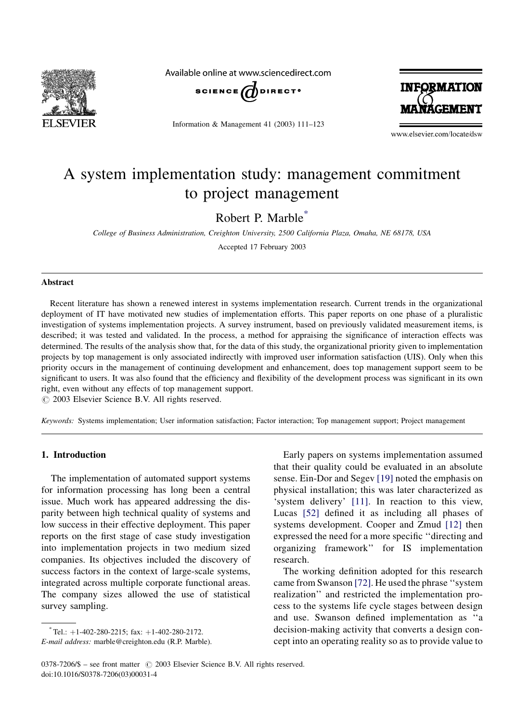

Available online at www.sciencedirect.com



Information & Management 41 (2003) 111–123



www.elsevier.com/locate/dsw

# A system implementation study: management commitment to project management

Robert P. Marble\*

College of Business Administration, Creighton University, 2500 California Plaza, Omaha, NE 68178, USA

Accepted 17 February 2003

#### Abstract

Recent literature has shown a renewed interest in systems implementation research. Current trends in the organizational deployment of IT have motivated new studies of implementation efforts. This paper reports on one phase of a pluralistic investigation of systems implementation projects. A survey instrument, based on previously validated measurement items, is described; it was tested and validated. In the process, a method for appraising the significance of interaction effects was determined. The results of the analysis show that, for the data of this study, the organizational priority given to implementation projects by top management is only associated indirectly with improved user information satisfaction (UIS). Only when this priority occurs in the management of continuing development and enhancement, does top management support seem to be significant to users. It was also found that the efficiency and flexibility of the development process was significant in its own right, even without any effects of top management support.

 $\odot$  2003 Elsevier Science B.V. All rights reserved.

Keywords: Systems implementation; User information satisfaction; Factor interaction; Top management support; Project management

### 1. Introduction

The implementation of automated support systems for information processing has long been a central issue. Much work has appeared addressing the disparity between high technical quality of systems and low success in their effective deployment. This paper reports on the first stage of case study investigation into implementation projects in two medium sized companies. Its objectives included the discovery of success factors in the context of large-scale systems, integrated across multiple corporate functional areas. The company sizes allowed the use of statistical survey sampling.

Early papers on systems implementation assumed that their quality could be evaluated in an absolute sense. Ein-Dor and Segev [\[19\]](#page--1-0) noted the emphasis on physical installation; this was later characterized as 'system delivery' [\[11\].](#page--1-0) In reaction to this view, Lucas [\[52\]](#page--1-0) defined it as including all phases of systems development. Cooper and Zmud [\[12\]](#page--1-0) then expressed the need for a more specific ''directing and organizing framework'' for IS implementation research.

The working definition adopted for this research came from Swanson [\[72\].](#page--1-0) He used the phrase ''system realization'' and restricted the implementation process to the systems life cycle stages between design and use. Swanson defined implementation as ''a decision-making activity that converts a design concept into an operating reality so as to provide value to

 $^*$ Tel.:  $+1$ -402-280-2215; fax:  $+1$ -402-280-2172.

E-mail address: marble@creighton.edu (R.P. Marble).

 $0378-7206/\$$  – see front matter  $\odot$  2003 Elsevier Science B.V. All rights reserved. doi:10.1016/S0378-7206(03)00031-4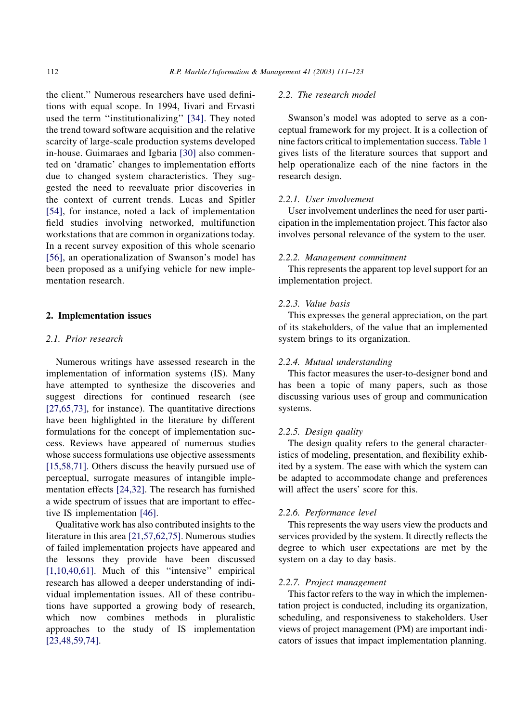the client.'' Numerous researchers have used definitions with equal scope. In 1994, Iivari and Ervasti used the term "institutionalizing" [\[34\].](#page--1-0) They noted the trend toward software acquisition and the relative scarcity of large-scale production systems developed in-house. Guimaraes and Igbaria [\[30\]](#page--1-0) also commented on 'dramatic' changes to implementation efforts due to changed system characteristics. They suggested the need to reevaluate prior discoveries in the context of current trends. Lucas and Spitler [\[54\]](#page--1-0), for instance, noted a lack of implementation field studies involving networked, multifunction workstations that are common in organizations today. In a recent survey exposition of this whole scenario [\[56\]](#page--1-0), an operationalization of Swanson's model has been proposed as a unifying vehicle for new implementation research.

#### 2. Implementation issues

### 2.1. Prior research

Numerous writings have assessed research in the implementation of information systems (IS). Many have attempted to synthesize the discoveries and suggest directions for continued research (see [\[27,65,73\]](#page--1-0), for instance). The quantitative directions have been highlighted in the literature by different formulations for the concept of implementation success. Reviews have appeared of numerous studies whose success formulations use objective assessments [\[15,58,71\]](#page--1-0). Others discuss the heavily pursued use of perceptual, surrogate measures of intangible implementation effects [\[24,32\].](#page--1-0) The research has furnished a wide spectrum of issues that are important to effective IS implementation [\[46\].](#page--1-0)

Qualitative work has also contributed insights to the literature in this area [\[21,57,62,75\]](#page--1-0). Numerous studies of failed implementation projects have appeared and the lessons they provide have been discussed [\[1,10,40,61\]](#page--1-0). Much of this "intensive" empirical research has allowed a deeper understanding of individual implementation issues. All of these contributions have supported a growing body of research, which now combines methods in pluralistic approaches to the study of IS implementation [\[23,48,59,74\]](#page--1-0).

## 2.2. The research model

Swanson's model was adopted to serve as a conceptual framework for my project. It is a collection of nine factors critical to implementation success. [Table 1](#page--1-0) gives lists of the literature sources that support and help operationalize each of the nine factors in the research design.

#### 2.2.1. User involvement

User involvement underlines the need for user participation in the implementation project. This factor also involves personal relevance of the system to the user.

#### 2.2.2. Management commitment

This represents the apparent top level support for an implementation project.

#### 2.2.3. Value basis

This expresses the general appreciation, on the part of its stakeholders, of the value that an implemented system brings to its organization.

#### 2.2.4. Mutual understanding

This factor measures the user-to-designer bond and has been a topic of many papers, such as those discussing various uses of group and communication systems.

#### 2.2.5. Design quality

The design quality refers to the general characteristics of modeling, presentation, and flexibility exhibited by a system. The ease with which the system can be adapted to accommodate change and preferences will affect the users' score for this.

### 2.2.6. Performance level

This represents the way users view the products and services provided by the system. It directly reflects the degree to which user expectations are met by the system on a day to day basis.

#### 2.2.7. Project management

This factor refers to the way in which the implementation project is conducted, including its organization, scheduling, and responsiveness to stakeholders. User views of project management (PM) are important indicators of issues that impact implementation planning.